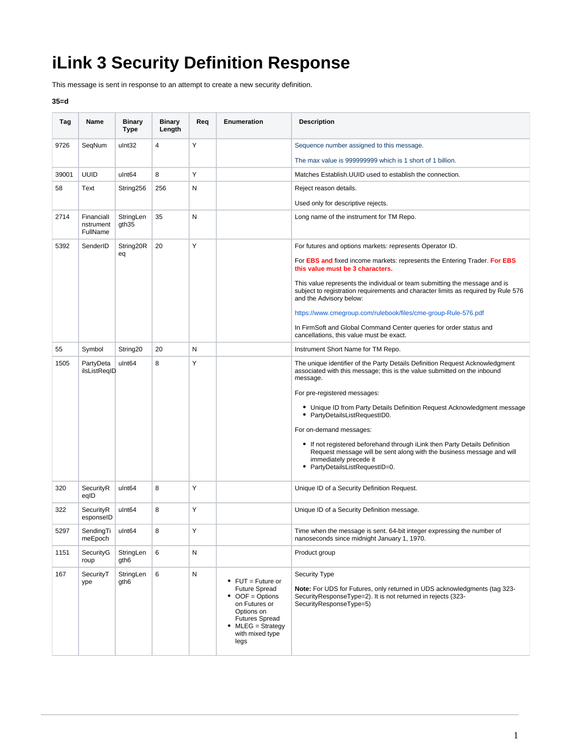## **iLink 3 Security Definition Response**

This message is sent in response to an attempt to create a new security definition.

## **35=d**

| Tag   | Name                                | <b>Binary</b><br><b>Type</b>   | <b>Binary</b><br>Length | Req       | Enumeration                                                                                                                                                                          | <b>Description</b>                                                                                                                                                                                                                                                               |
|-------|-------------------------------------|--------------------------------|-------------------------|-----------|--------------------------------------------------------------------------------------------------------------------------------------------------------------------------------------|----------------------------------------------------------------------------------------------------------------------------------------------------------------------------------------------------------------------------------------------------------------------------------|
| 9726  | SegNum                              | ulnt32                         | 4                       | Υ         |                                                                                                                                                                                      | Sequence number assigned to this message.                                                                                                                                                                                                                                        |
|       |                                     |                                |                         |           |                                                                                                                                                                                      | The max value is 999999999 which is 1 short of 1 billion.                                                                                                                                                                                                                        |
| 39001 | <b>UUID</b>                         | ulnt64                         | 8                       | Y         |                                                                                                                                                                                      | Matches Establish. UUID used to establish the connection.                                                                                                                                                                                                                        |
| 58    | Text                                | String256                      | 256                     | N         |                                                                                                                                                                                      | Reject reason details.                                                                                                                                                                                                                                                           |
|       |                                     |                                |                         |           |                                                                                                                                                                                      | Used only for descriptive rejects.                                                                                                                                                                                                                                               |
| 2714  | Financiall<br>nstrument<br>FullName | StringLen<br>gth <sub>35</sub> | 35                      | Ν         |                                                                                                                                                                                      | Long name of the instrument for TM Repo.                                                                                                                                                                                                                                         |
| 5392  | SenderID                            | String20R<br>eq                | 20                      | Υ         |                                                                                                                                                                                      | For futures and options markets: represents Operator ID.                                                                                                                                                                                                                         |
|       |                                     |                                |                         |           |                                                                                                                                                                                      | For <b>EBS and fixed income markets: represents the Entering Trader. For EBS</b><br>this value must be 3 characters.                                                                                                                                                             |
|       |                                     |                                |                         |           |                                                                                                                                                                                      | This value represents the individual or team submitting the message and is<br>subject to registration requirements and character limits as required by Rule 576<br>and the Advisory below:                                                                                       |
|       |                                     |                                |                         |           |                                                                                                                                                                                      | https://www.cmegroup.com/rulebook/files/cme-group-Rule-576.pdf                                                                                                                                                                                                                   |
|       |                                     |                                |                         |           |                                                                                                                                                                                      | In FirmSoft and Global Command Center queries for order status and<br>cancellations, this value must be exact.                                                                                                                                                                   |
| 55    | Symbol                              | String <sub>20</sub>           | 20                      | N         |                                                                                                                                                                                      | Instrument Short Name for TM Repo.                                                                                                                                                                                                                                               |
| 1505  | PartyDeta<br>ilsListReqID           | ulnt <sub>64</sub>             | 8                       | Υ         |                                                                                                                                                                                      | The unique identifier of the Party Details Definition Request Acknowledgment<br>associated with this message; this is the value submitted on the inbound<br>message.<br>For pre-registered messages:<br>• Unique ID from Party Details Definition Request Acknowledgment message |
|       |                                     |                                |                         |           |                                                                                                                                                                                      | • PartyDetailsListRequestID0.<br>For on-demand messages:<br>• If not registered beforehand through iLink then Party Details Definition<br>Request message will be sent along with the business message and will<br>immediately precede it                                        |
|       |                                     |                                |                         |           |                                                                                                                                                                                      | • PartyDetailsListRequestID=0.                                                                                                                                                                                                                                                   |
| 320   | SecurityR<br>eqID                   | ulnt <sub>64</sub>             | 8                       | Y         |                                                                                                                                                                                      | Unique ID of a Security Definition Request.                                                                                                                                                                                                                                      |
| 322   | SecurityR<br>esponseID              | ulnt <sub>64</sub>             | 8                       | Y         |                                                                                                                                                                                      | Unique ID of a Security Definition message.                                                                                                                                                                                                                                      |
| 5297  | SendingTi<br>meEpoch                | ulnt <sub>64</sub>             | 8                       | Y         |                                                                                                                                                                                      | Time when the message is sent. 64-bit integer expressing the number of<br>nanoseconds since midnight January 1, 1970.                                                                                                                                                            |
| 1151  | SecurityG<br>roup                   | StringLen<br>gth <sub>6</sub>  | 6                       | N         |                                                                                                                                                                                      | Product group                                                                                                                                                                                                                                                                    |
| 167   | SecuritvT<br>ype                    | StringLen<br>gth <sub>6</sub>  | 6                       | ${\sf N}$ | $\bullet$ FUT = Future or<br><b>Future Spread</b><br>$\bullet$ OOF = Options<br>on Futures or<br>Options on<br><b>Futures Spread</b><br>$MLEG = Strategy$<br>with mixed type<br>legs | <b>Security Type</b><br>Note: For UDS for Futures, only returned in UDS acknowledgments (tag 323-<br>SecurityResponseType=2). It is not returned in rejects (323-<br>SecurityResponseType=5)                                                                                     |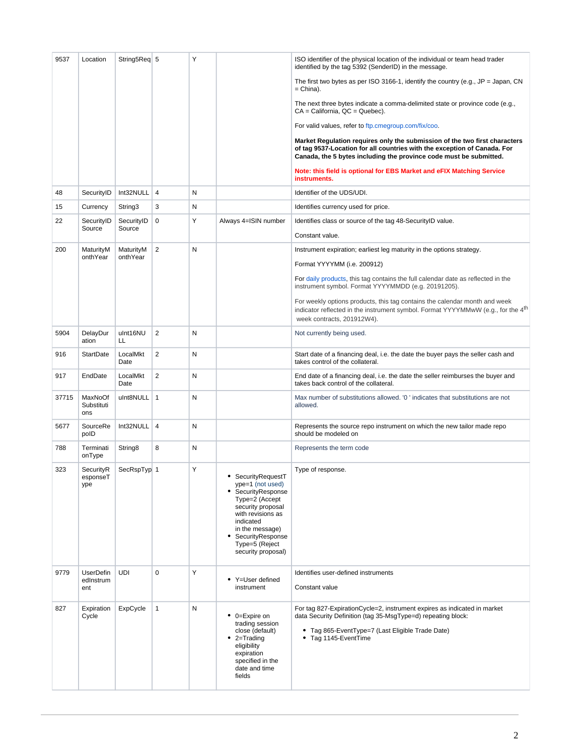| 9537  | Location                             | String5Req 5        |                | Υ         |                                                                                                                                                                                                                    | ISO identifier of the physical location of the individual or team head trader<br>identified by the tag 5392 (SenderID) in the message.                                                                                       |
|-------|--------------------------------------|---------------------|----------------|-----------|--------------------------------------------------------------------------------------------------------------------------------------------------------------------------------------------------------------------|------------------------------------------------------------------------------------------------------------------------------------------------------------------------------------------------------------------------------|
|       |                                      |                     |                |           |                                                                                                                                                                                                                    | The first two bytes as per ISO 3166-1, identify the country (e.g., $JP = Japan$ , CN<br>$=$ China).                                                                                                                          |
|       |                                      |                     |                |           |                                                                                                                                                                                                                    | The next three bytes indicate a comma-delimited state or province code (e.g.,<br>$CA = California$ , $QC = Quebec$ ).                                                                                                        |
|       |                                      |                     |                |           |                                                                                                                                                                                                                    | For valid values, refer to ftp.cmegroup.com/fix/coo.                                                                                                                                                                         |
|       |                                      |                     |                |           |                                                                                                                                                                                                                    | Market Regulation requires only the submission of the two first characters<br>of tag 9537-Location for all countries with the exception of Canada. For<br>Canada, the 5 bytes including the province code must be submitted. |
|       |                                      |                     |                |           |                                                                                                                                                                                                                    | Note: this field is optional for EBS Market and eFIX Matching Service<br>instruments.                                                                                                                                        |
| 48    | SecurityID                           | Int32NULL           | $\overline{4}$ | N         |                                                                                                                                                                                                                    | Identifier of the UDS/UDI.                                                                                                                                                                                                   |
| 15    | Currency                             | String3             | 3              | N         |                                                                                                                                                                                                                    | Identifies currency used for price.                                                                                                                                                                                          |
| 22    | SecurityID                           | SecurityID          | 0              | Υ         | Always 4=ISIN number                                                                                                                                                                                               | Identifies class or source of the tag 48-SecurityID value.                                                                                                                                                                   |
|       | Source                               | Source              |                |           |                                                                                                                                                                                                                    | Constant value.                                                                                                                                                                                                              |
| 200   | MaturityM                            | MaturityM           | 2              | ${\sf N}$ |                                                                                                                                                                                                                    | Instrument expiration; earliest leg maturity in the options strategy.                                                                                                                                                        |
|       | onthYear                             | onthYear            |                |           |                                                                                                                                                                                                                    | Format YYYYMM (i.e. 200912)                                                                                                                                                                                                  |
|       |                                      |                     |                |           |                                                                                                                                                                                                                    | For daily products, this tag contains the full calendar date as reflected in the<br>instrument symbol. Format YYYYMMDD (e.g. 20191205).                                                                                      |
|       |                                      |                     |                |           |                                                                                                                                                                                                                    | For weekly options products, this tag contains the calendar month and week<br>indicator reflected in the instrument symbol. Format YYYYMMwW (e.g., for the $4th$                                                             |
|       |                                      |                     |                |           |                                                                                                                                                                                                                    | week contracts, 201912W4).                                                                                                                                                                                                   |
| 5904  | DelayDur<br>ation                    | ulnt16NU<br>LL.     | 2              | N         |                                                                                                                                                                                                                    | Not currently being used.                                                                                                                                                                                                    |
| 916   | <b>StartDate</b>                     | LocalMkt<br>Date    | 2              | N         |                                                                                                                                                                                                                    | Start date of a financing deal, i.e. the date the buyer pays the seller cash and<br>takes control of the collateral.                                                                                                         |
| 917   | EndDate                              | LocalMkt<br>Date    | 2              | N         |                                                                                                                                                                                                                    | End date of a financing deal, i.e. the date the seller reimburses the buyer and<br>takes back control of the collateral.                                                                                                     |
| 37715 | MaxNoOf<br>Substituti<br>ons         | ulnt8NULL   1       |                | N         |                                                                                                                                                                                                                    | Max number of substitutions allowed. '0' indicates that substitutions are not<br>allowed.                                                                                                                                    |
| 5677  | SourceRe<br>polD                     | Int32NULL           | $\overline{4}$ | N         |                                                                                                                                                                                                                    | Represents the source repo instrument on which the new tailor made repo<br>should be modeled on                                                                                                                              |
| 788   | Terminati<br>onType                  | String <sub>8</sub> | 8              | N         |                                                                                                                                                                                                                    | Represents the term code                                                                                                                                                                                                     |
| 323   | SecurityR<br>esponseT<br>ype         | SecRspTyp 1         |                | Υ         | • SecurityRequestT<br>ype=1 (not used)<br>SecurityResponse<br>Type=2 (Accept<br>security proposal<br>with revisions as<br>indicated<br>in the message)<br>SecurityResponse<br>Type=5 (Reject<br>security proposal) | Type of response.                                                                                                                                                                                                            |
| 9779  | <b>UserDefin</b><br>edInstrum<br>ent | <b>UDI</b>          | $\mathbf 0$    | Y         | • Y=User defined<br>instrument                                                                                                                                                                                     | Identifies user-defined instruments<br>Constant value                                                                                                                                                                        |
| 827   | Expiration<br>Cycle                  | ExpCycle            | $\mathbf{1}$   | N         | • 0=Expire on<br>trading session<br>close (default)<br>$\bullet$ 2=Trading<br>eligibility<br>expiration<br>specified in the<br>date and time<br>fields                                                             | For tag 827-ExpirationCycle=2, instrument expires as indicated in market<br>data Security Definition (tag 35-MsgType=d) repeating block:<br>• Tag 865-EventType=7 (Last Eligible Trade Date)<br>• Tag 1145-EventTime         |